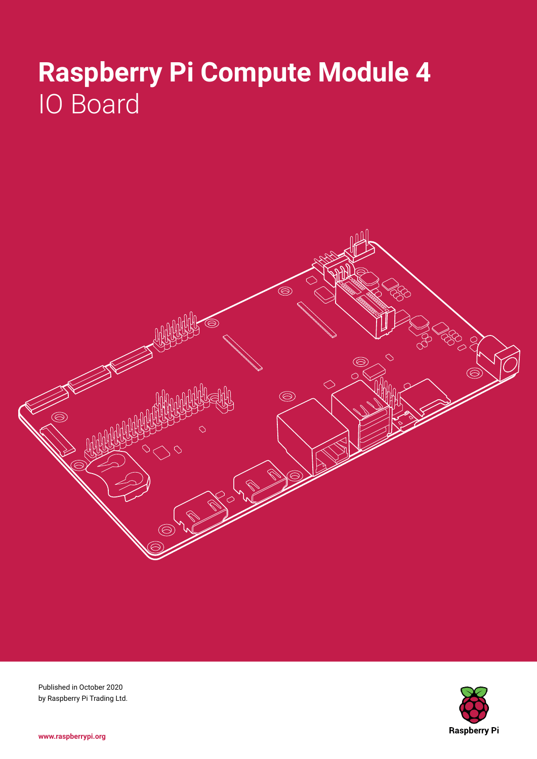# **Raspberry Pi Compute Module 4** IO Board



**Raspberry Pi** 

Published in October 2020 by Raspberry Pi Trading Ltd.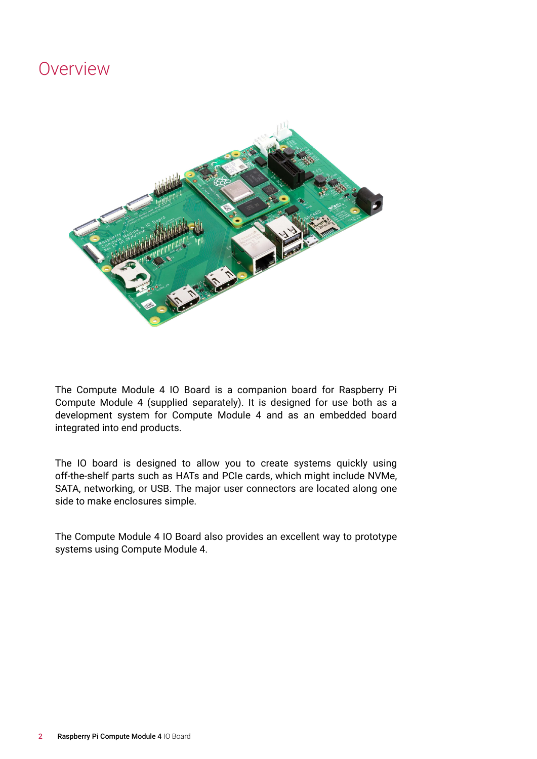### Overview



The Compute Module 4 IO Board is a companion board for Raspberry Pi Compute Module 4 (supplied separately). It is designed for use both as a development system for Compute Module 4 and as an embedded board integrated into end products.

The IO board is designed to allow you to create systems quickly using off-the-shelf parts such as HATs and PCIe cards, which might include NVMe, SATA, networking, or USB. The major user connectors are located along one side to make enclosures simple.

The Compute Module 4 IO Board also provides an excellent way to prototype systems using Compute Module 4.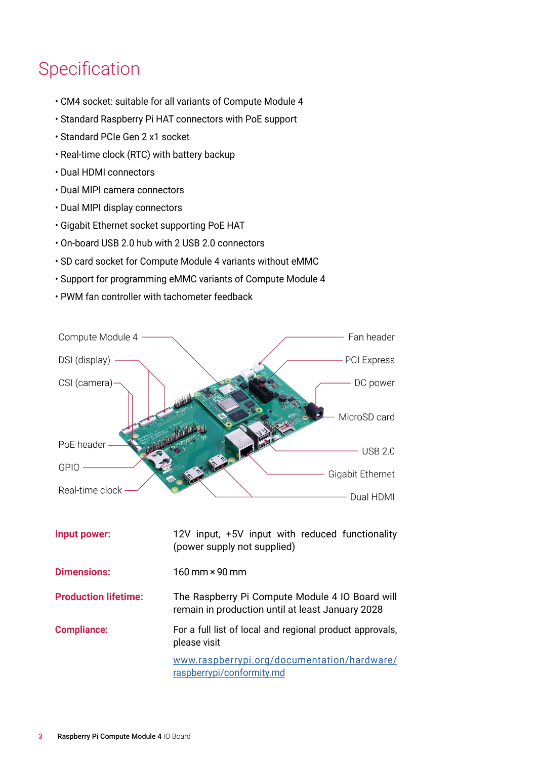## Specification

- CM4 socket: suitable for all variants of Compute Module 4
- Standard Raspberry Pi HAT connectors with PoE support
- Standard PCIe Gen 2 x1 socket
- Real-time clock (RTC) with battery backup
- Dual HDMI connectors
- Dual MIPI camera connectors
- Dual MIPI display connectors
- Gigabit Ethernet socket supporting PoE HAT
- On-board USB 2.0 hub with 2 USB 2.0 connectors
- SD card socket for Compute Module 4 variants without eMMC
- Support for programming eMMC variants of Compute Module 4
- PWM fan controller with tachometer feedback



| Input power:                | 12V input, +5V input with reduced functionality<br>(power supply not supplied)                      |
|-----------------------------|-----------------------------------------------------------------------------------------------------|
| <b>Dimensions:</b>          | $160 \,\mathrm{mm}$ x 90 mm                                                                         |
| <b>Production lifetime:</b> | The Raspberry Pi Compute Module 4 IO Board will<br>remain in production until at least January 2028 |
| <b>Compliance:</b>          | For a full list of local and regional product approvals,<br>please visit                            |
|                             | www.raspberrypi.org/documentation/hardware/<br>raspberrypi/conformity.md                            |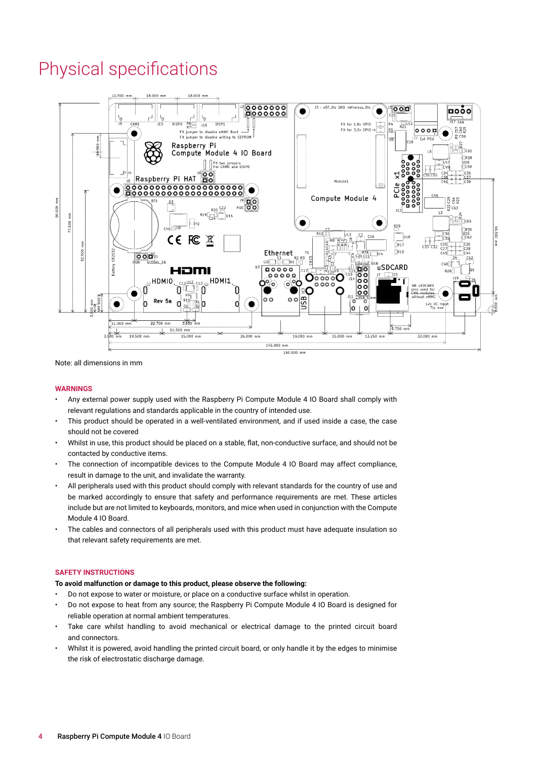### Physical specifications



Note: all dimensions in mm

#### **WARNINGS**

- Any external power supply used with the Raspberry Pi Compute Module 4 IO Board shall comply with relevant regulations and standards applicable in the country of intended use.
- This product should be operated in a well-ventilated environment, and if used inside a case, the case should not be covered
- Whilst in use, this product should be placed on a stable, flat, non-conductive surface, and should not be contacted by conductive items.
- The connection of incompatible devices to the Compute Module 4 IO Board may affect compliance, result in damage to the unit, and invalidate the warranty.
- All peripherals used with this product should comply with relevant standards for the country of use and be marked accordingly to ensure that safety and performance requirements are met. These articles include but are not limited to keyboards, monitors, and mice when used in conjunction with the Compute Module 4 IO Board.
- The cables and connectors of all peripherals used with this product must have adequate insulation so that relevant safety requirements are met.

#### **SAFETY INSTRUCTIONS**

### **To avoid malfunction or damage to this product, please observe the following:**

- Do not expose to water or moisture, or place on a conductive surface whilst in operation.
- Do not expose to heat from any source; the Raspberry Pi Compute Module 4 IO Board is designed for reliable operation at normal ambient temperatures.
- Take care whilst handling to avoid mechanical or electrical damage to the printed circuit board and connectors.
- Whilst it is powered, avoid handling the printed circuit board, or only handle it by the edges to minimise the risk of electrostatic discharge damage.